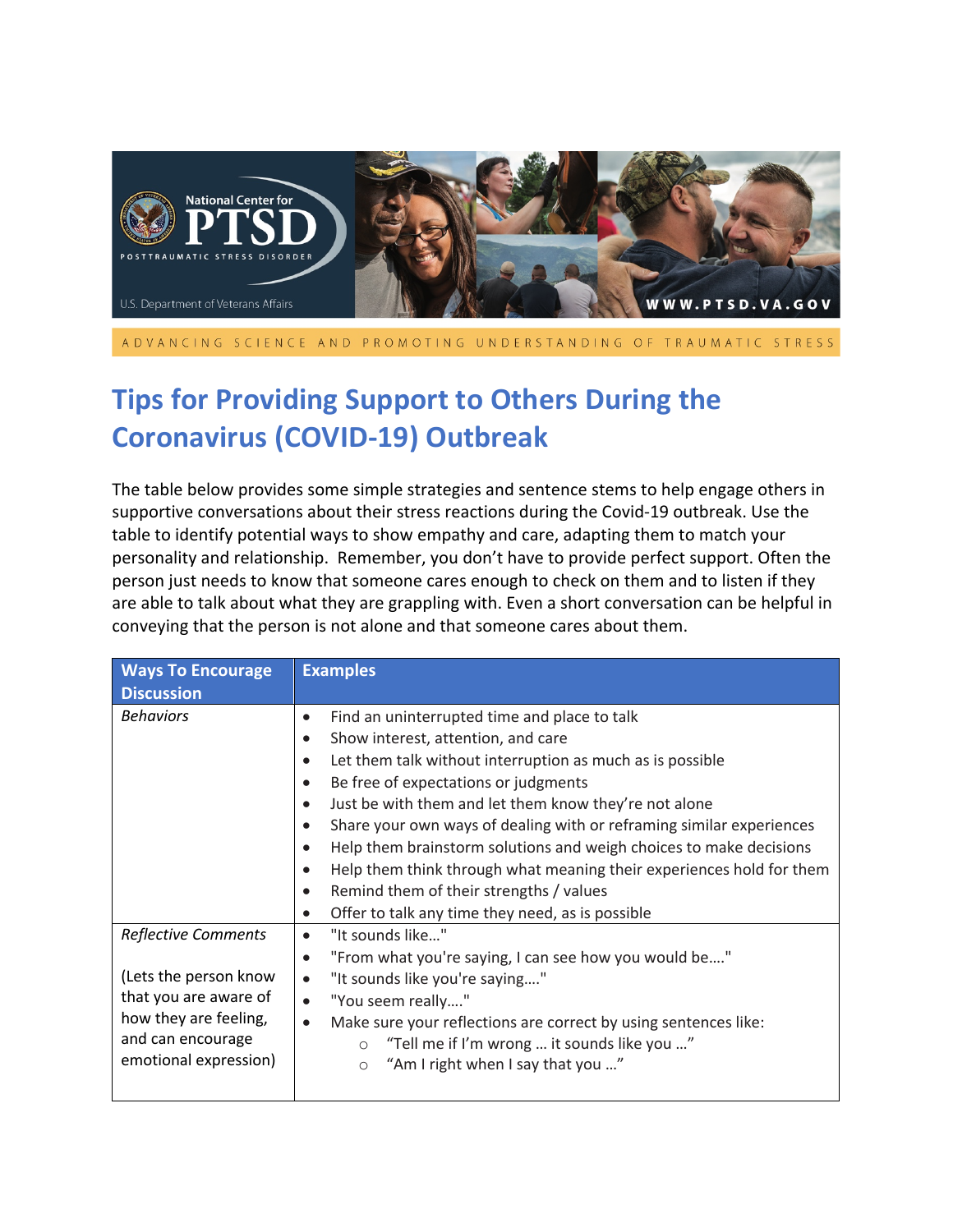

ADVANCING SCIENCE AND PROMOTING UNDERSTANDING OF TRAUMATIC STRESS

## **Tips for Providing Support to Others During the Coronavirus (COVID-19) Outbreak**

The table below provides some simple strategies and sentence stems to help engage others in supportive conversations about their stress reactions during the Covid-19 outbreak. Use the table to identify potential ways to show empathy and care, adapting them to match your personality and relationship. Remember, you don't have to provide perfect support. Often the person just needs to know that someone cares enough to check on them and to listen if they are able to talk about what they are grappling with. Even a short conversation can be helpful in conveying that the person is not alone and that someone cares about them.

| <b>Ways To Encourage</b><br><b>Discussion</b>                                                                                                       | <b>Examples</b>                                                                                                                                                                                                                                                                                                                                                                                                                                                                                                                                                                                                                                                                            |  |
|-----------------------------------------------------------------------------------------------------------------------------------------------------|--------------------------------------------------------------------------------------------------------------------------------------------------------------------------------------------------------------------------------------------------------------------------------------------------------------------------------------------------------------------------------------------------------------------------------------------------------------------------------------------------------------------------------------------------------------------------------------------------------------------------------------------------------------------------------------------|--|
| <b>Behaviors</b>                                                                                                                                    | Find an uninterrupted time and place to talk<br>$\bullet$<br>Show interest, attention, and care<br>$\bullet$<br>Let them talk without interruption as much as is possible<br>$\bullet$<br>Be free of expectations or judgments<br>$\bullet$<br>Just be with them and let them know they're not alone<br>$\bullet$<br>Share your own ways of dealing with or reframing similar experiences<br>$\bullet$<br>Help them brainstorm solutions and weigh choices to make decisions<br>$\bullet$<br>Help them think through what meaning their experiences hold for them<br>Remind them of their strengths / values<br>$\bullet$<br>Offer to talk any time they need, as is possible<br>$\bullet$ |  |
| <b>Reflective Comments</b><br>(Lets the person know<br>that you are aware of<br>how they are feeling,<br>and can encourage<br>emotional expression) | "It sounds like"<br>$\bullet$<br>"From what you're saying, I can see how you would be"<br>$\bullet$<br>"It sounds like you're saying"<br>$\bullet$<br>"You seem really"<br>$\bullet$<br>Make sure your reflections are correct by using sentences like:<br>$\bullet$<br>"Tell me if I'm wrong  it sounds like you "<br>$\circ$<br>"Am I right when I say that you "<br>$\circ$                                                                                                                                                                                                                                                                                                             |  |